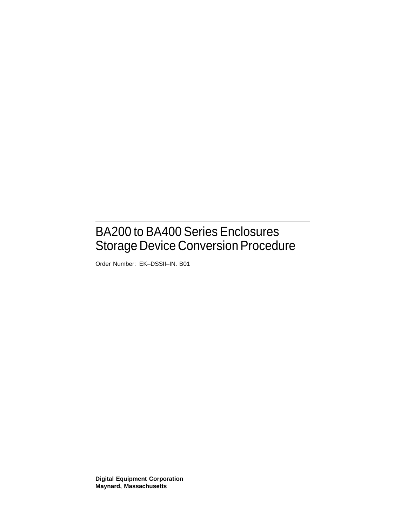# BA200 to BA400 Series Enclosures Storage Device Conversion Procedure

Order Number: EK–DSSII–IN. B01

**Digital Equipment Corporation Maynard, Massachusetts**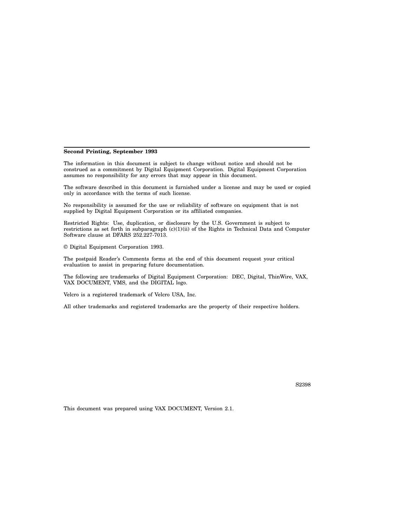#### **Second Printing, September 1993**

The information in this document is subject to change without notice and should not be construed as a commitment by Digital Equipment Corporation. Digital Equipment Corporation assumes no responsibility for any errors that may appear in this document.

The software described in this document is furnished under a license and may be used or copied only in accordance with the terms of such license.

No responsibility is assumed for the use or reliability of software on equipment that is not supplied by Digital Equipment Corporation or its affiliated companies.

Restricted Rights: Use, duplication, or disclosure by the U.S. Government is subject to restrictions as set forth in subparagraph (c)(1)(ii) of the Rights in Technical Data and Computer Software clause at DFARS 252.227-7013.

© Digital Equipment Corporation 1993.

The postpaid Reader's Comments forms at the end of this document request your critical evaluation to assist in preparing future documentation.

The following are trademarks of Digital Equipment Corporation: DEC, Digital, ThinWire, VAX, VAX DOCUMENT, VMS, and the DIGITAL logo.

Velcro is a registered trademark of Velcro USA, Inc.

All other trademarks and registered trademarks are the property of their respective holders.

S2398

This document was prepared using VAX DOCUMENT, Version 2.1.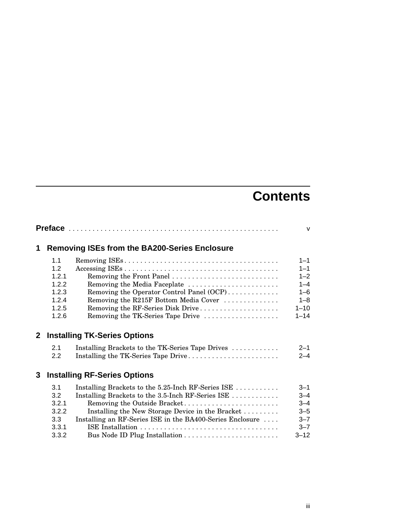# **Contents**

|              |                                                                  |                                                                                                                                                                                                                                                          | $\vee$                                                                                 |  |  |
|--------------|------------------------------------------------------------------|----------------------------------------------------------------------------------------------------------------------------------------------------------------------------------------------------------------------------------------------------------|----------------------------------------------------------------------------------------|--|--|
| 1            |                                                                  | <b>Removing ISEs from the BA200-Series Enclosure</b>                                                                                                                                                                                                     |                                                                                        |  |  |
|              | 1.1<br>1.2<br>1.2.1<br>1.2.2<br>1.2.3<br>1.2.4<br>1.2.5<br>1.2.6 | Removing the Front Panel<br>Removing the Media Faceplate<br>Removing the Operator Control Panel (OCP)<br>Removing the R215F Bottom Media Cover<br>Removing the RF-Series Disk Drive<br>Removing the TK-Series Tape Drive                                 | $1 - 1$<br>$1 - 1$<br>$1 - 2$<br>$1 - 4$<br>$1 - 6$<br>$1 - 8$<br>$1 - 10$<br>$1 - 14$ |  |  |
| $\mathbf{2}$ | <b>Installing TK-Series Options</b>                              |                                                                                                                                                                                                                                                          |                                                                                        |  |  |
|              | 2.1<br>2.2                                                       | Installing Brackets to the TK-Series Tape Drives<br>Installing the TK-Series Tape Drive                                                                                                                                                                  | $2 - 1$<br>$2 - 4$                                                                     |  |  |
| 3            |                                                                  | <b>Installing RF-Series Options</b>                                                                                                                                                                                                                      |                                                                                        |  |  |
|              | 3.1<br>3.2<br>3.2.1<br>3.2.2<br>3.3<br>3.3.1<br>3.3.2            | Installing Brackets to the 5.25-Inch RF-Series ISE<br>Installing Brackets to the 3.5-Inch RF-Series ISE<br>Removing the Outside Bracket<br>Installing the New Storage Device in the Bracket<br>Installing an RF-Series ISE in the BA400-Series Enclosure | $3 - 1$<br>$3 - 4$<br>$3 - 4$<br>$3 - 5$<br>$3 - 7$<br>$3 - 7$<br>$3 - 12$             |  |  |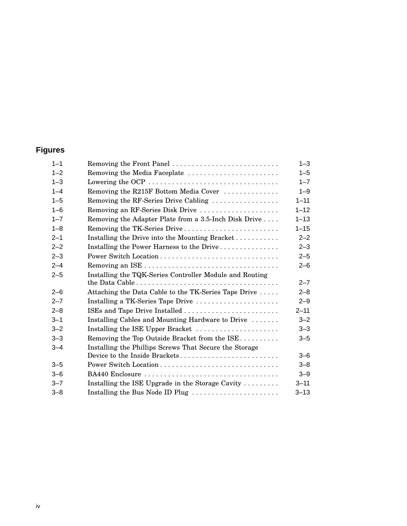# **Figures**

| $1 - 1$ | Removing the Front Panel                                                             | $1 - 3$  |
|---------|--------------------------------------------------------------------------------------|----------|
| $1 - 2$ | Removing the Media Faceplate                                                         | $1 - 5$  |
| $1 - 3$ | Lowering the OCP $\dots \dots \dots \dots \dots \dots \dots \dots \dots \dots \dots$ | $1 - 7$  |
| $1 - 4$ | Removing the R215F Bottom Media Cover                                                | $1 - 9$  |
| $1 - 5$ | Removing the RF-Series Drive Cabling                                                 | $1 - 11$ |
| $1 - 6$ | Removing an RF-Series Disk Drive                                                     | $1 - 12$ |
| $1 - 7$ | Removing the Adapter Plate from a 3.5-Inch Disk Drive                                | $1 - 13$ |
| $1 - 8$ | Removing the TK-Series Drive                                                         | $1 - 15$ |
| $2 - 1$ | Installing the Drive into the Mounting Bracket                                       | $2 - 2$  |
| $2 - 2$ | Installing the Power Harness to the Drive                                            | $2 - 3$  |
| $2 - 3$ |                                                                                      | $2 - 5$  |
| $2 - 4$ |                                                                                      | $2 - 6$  |
| $2 - 5$ | Installing the TQK-Series Controller Module and Routing                              |          |
|         |                                                                                      | $2 - 7$  |
| $2 - 6$ | Attaching the Data Cable to the TK-Series Tape Drive                                 | $2 - 8$  |
| $2 - 7$ | Installing a TK-Series Tape Drive                                                    | $2 - 9$  |
| $2 - 8$ | ISEs and Tape Drive Installed                                                        | $2 - 11$ |
| $3 - 1$ | Installing Cables and Mounting Hardware to Drive                                     | $3 - 2$  |
| $3 - 2$ | Installing the ISE Upper Bracket                                                     | $3 - 3$  |
| $3 - 3$ | Removing the Top Outside Bracket from the ISE                                        | $3 - 5$  |
| $3 - 4$ | Installing the Phillips Screws That Secure the Storage                               |          |
|         | Device to the Inside Brackets                                                        | $3 - 6$  |
| $3 - 5$ |                                                                                      | $3 - 8$  |
| $3 - 6$ | BA440 Enclosure                                                                      | $3 - 9$  |
| $3 - 7$ | Installing the ISE Upgrade in the Storage Cavity $\ldots \ldots$                     | $3 - 11$ |
| $3 - 8$ | Installing the Bus Node ID Plug                                                      | $3 - 13$ |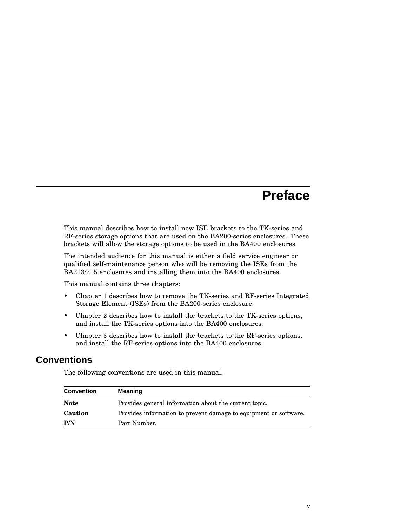# **Preface**

This manual describes how to install new ISE brackets to the TK-series and RF-series storage options that are used on the BA200-series enclosures. These brackets will allow the storage options to be used in the BA400 enclosures.

The intended audience for this manual is either a field service engineer or qualified self-maintenance person who will be removing the ISEs from the BA213/215 enclosures and installing them into the BA400 enclosures.

This manual contains three chapters:

- Chapter 1 describes how to remove the TK-series and RF-series Integrated Storage Element (ISEs) from the BA200-series enclosure.
- Chapter 2 describes how to install the brackets to the TK-series options, and install the TK-series options into the BA400 enclosures.
- Chapter 3 describes how to install the brackets to the RF-series options, and install the RF-series options into the BA400 enclosures.

# **Conventions**

The following conventions are used in this manual.

| <b>Convention</b> | <b>Meaning</b>                                                   |
|-------------------|------------------------------------------------------------------|
| <b>Note</b>       | Provides general information about the current topic.            |
| Caution           | Provides information to prevent damage to equipment or software. |
| P/N               | Part Number.                                                     |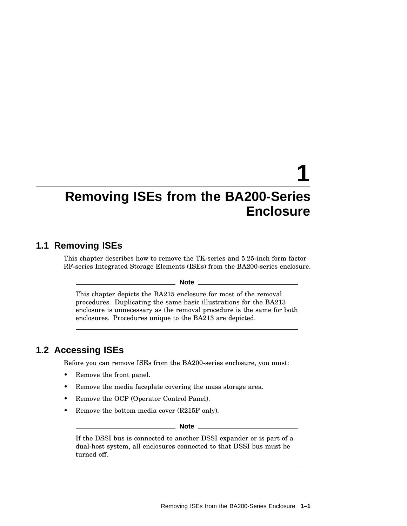# **Removing ISEs from the BA200-Series Enclosure**

**1**

# **1.1 Removing ISEs**

This chapter describes how to remove the TK-series and 5.25-inch form factor RF-series Integrated Storage Elements (ISEs) from the BA200-series enclosure.

#### **Note**

This chapter depicts the BA215 enclosure for most of the removal procedures. Duplicating the same basic illustrations for the BA213 enclosure is unnecessary as the removal procedure is the same for both enclosures. Procedures unique to the BA213 are depicted.

# **1.2 Accessing ISEs**

Before you can remove ISEs from the BA200-series enclosure, you must:

- Remove the front panel.
- Remove the media faceplate covering the mass storage area.
- Remove the OCP (Operator Control Panel).
- Remove the bottom media cover (R215F only).

**Note**

If the DSSI bus is connected to another DSSI expander or is part of a dual-host system, all enclosures connected to that DSSI bus must be turned off.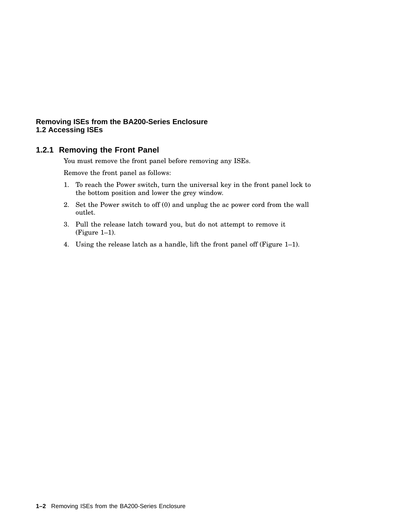# **1.2.1 Removing the Front Panel**

You must remove the front panel before removing any ISEs.

Remove the front panel as follows:

- 1. To reach the Power switch, turn the universal key in the front panel lock to the bottom position and lower the grey window.
- 2. Set the Power switch to off (0) and unplug the ac power cord from the wall outlet.
- 3. Pull the release latch toward you, but do not attempt to remove it (Figure 1–1).
- 4. Using the release latch as a handle, lift the front panel off (Figure 1–1).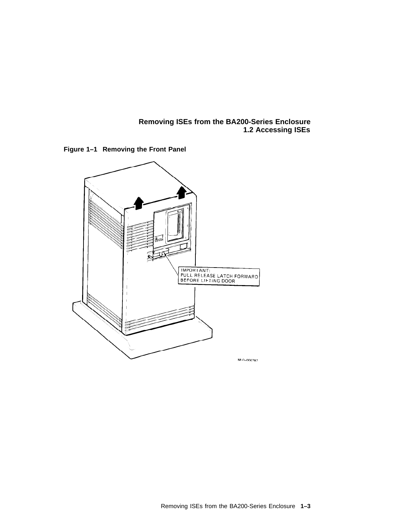

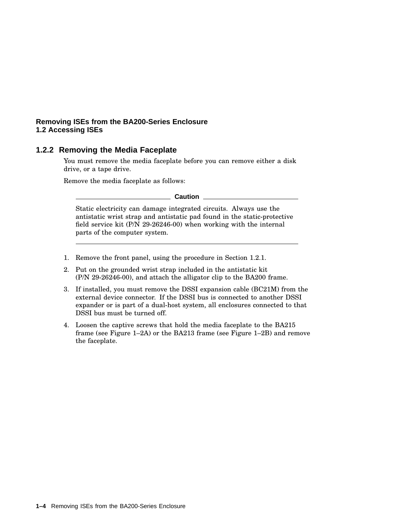# **1.2.2 Removing the Media Faceplate**

You must remove the media faceplate before you can remove either a disk drive, or a tape drive.

Remove the media faceplate as follows:

**Caution**

Static electricity can damage integrated circuits. Always use the antistatic wrist strap and antistatic pad found in the static-protective field service kit (P/N 29-26246-00) when working with the internal parts of the computer system.

- 1. Remove the front panel, using the procedure in Section 1.2.1.
- 2. Put on the grounded wrist strap included in the antistatic kit (P/N 29-26246-00), and attach the alligator clip to the BA200 frame.
- 3. If installed, you must remove the DSSI expansion cable (BC21M) from the external device connector. If the DSSI bus is connected to another DSSI expander or is part of a dual-host system, all enclosures connected to that DSSI bus must be turned off.
- 4. Loosen the captive screws that hold the media faceplate to the BA215 frame (see Figure 1–2A) or the BA213 frame (see Figure 1–2B) and remove the faceplate.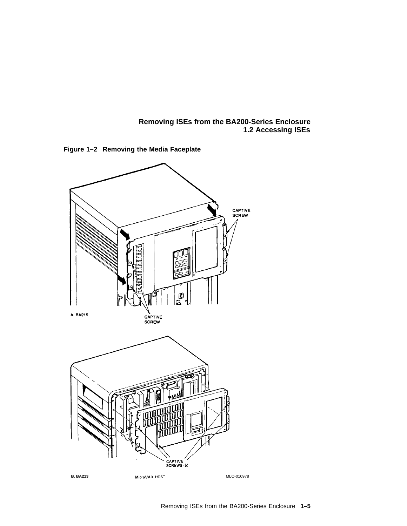



**Figure 1–2 Removing the Media Faceplate**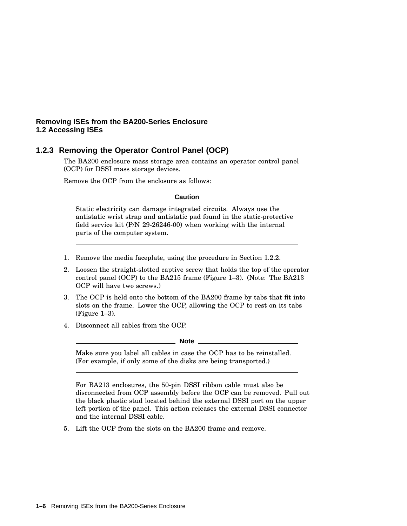# **1.2.3 Removing the Operator Control Panel (OCP)**

The BA200 enclosure mass storage area contains an operator control panel (OCP) for DSSI mass storage devices.

Remove the OCP from the enclosure as follows:

**Caution**

Static electricity can damage integrated circuits. Always use the antistatic wrist strap and antistatic pad found in the static-protective field service kit (P/N 29-26246-00) when working with the internal parts of the computer system.

- 1. Remove the media faceplate, using the procedure in Section 1.2.2.
- 2. Loosen the straight-slotted captive screw that holds the top of the operator control panel (OCP) to the BA215 frame (Figure 1–3). (Note: The BA213 OCP will have two screws.)
- 3. The OCP is held onto the bottom of the BA200 frame by tabs that fit into slots on the frame. Lower the OCP, allowing the OCP to rest on its tabs (Figure 1–3).
- 4. Disconnect all cables from the OCP.

**Note**

Make sure you label all cables in case the OCP has to be reinstalled. (For example, if only some of the disks are being transported.)

For BA213 enclosures, the 50-pin DSSI ribbon cable must also be disconnected from OCP assembly before the OCP can be removed. Pull out the black plastic stud located behind the external DSSI port on the upper left portion of the panel. This action releases the external DSSI connector and the internal DSSI cable.

5. Lift the OCP from the slots on the BA200 frame and remove.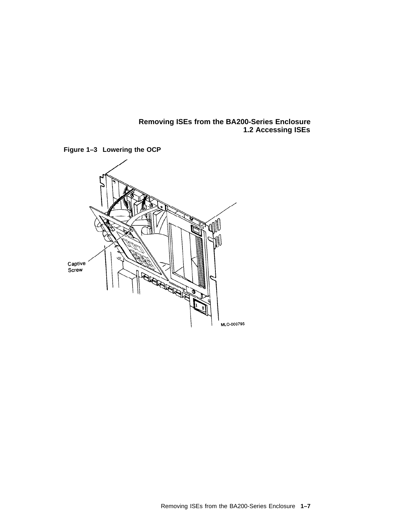

**Figure 1–3 Lowering the OCP**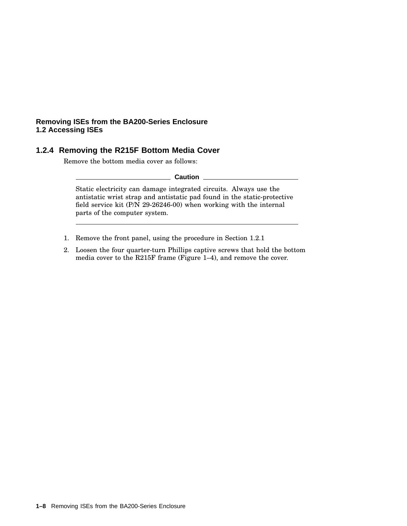# **1.2.4 Removing the R215F Bottom Media Cover**

Remove the bottom media cover as follows:

**Caution**

Static electricity can damage integrated circuits. Always use the antistatic wrist strap and antistatic pad found in the static-protective field service kit (P/N 29-26246-00) when working with the internal parts of the computer system.

- 1. Remove the front panel, using the procedure in Section 1.2.1
- 2. Loosen the four quarter-turn Phillips captive screws that hold the bottom media cover to the R215F frame (Figure 1–4), and remove the cover.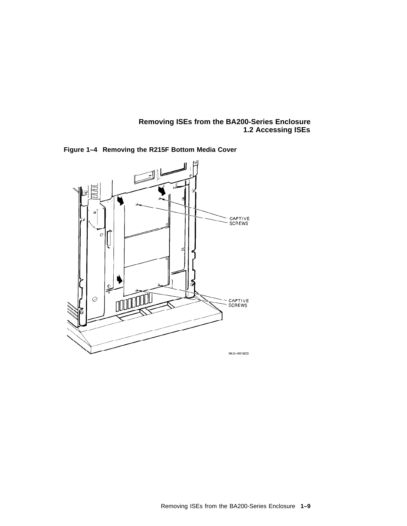

**Figure 1–4 Removing the R215F Bottom Media Cover**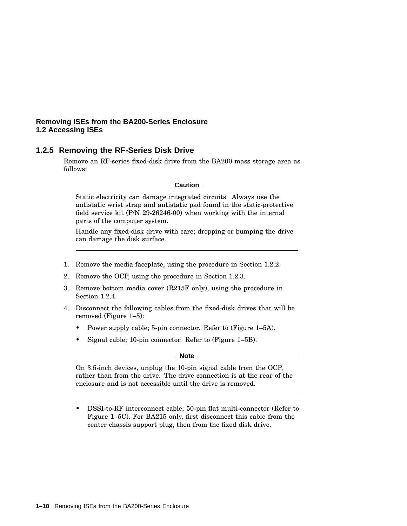# **1.2.5 Removing the RF-Series Disk Drive**

Remove an RF-series fixed-disk drive from the BA200 mass storage area as follows:

#### **Caution**

Static electricity can damage integrated circuits. Always use the antistatic wrist strap and antistatic pad found in the static-protective field service kit (P/N 29-26246-00) when working with the internal parts of the computer system.

Handle any fixed-disk drive with care; dropping or bumping the drive can damage the disk surface.

- 1. Remove the media faceplate, using the procedure in Section 1.2.2.
- 2. Remove the OCP, using the procedure in Section 1.2.3.
- 3. Remove bottom media cover (R215F only), using the procedure in Section 1.2.4.
- 4. Disconnect the following cables from the fixed-disk drives that will be removed (Figure 1–5):
	- Power supply cable; 5-pin connector. Refer to (Figure 1–5A).
	- Signal cable; 10-pin connector. Refer to (Figure 1–5B).

**Note**

On 3.5-inch devices, unplug the 10-pin signal cable from the OCP, rather than from the drive. The drive connection is at the rear of the enclosure and is not accessible until the drive is removed.

• DSSI-to-RF interconnect cable; 50-pin flat multi-connector (Refer to Figure 1–5C). For BA215 only, first disconnect this cable from the center chassis support plug, then from the fixed disk drive.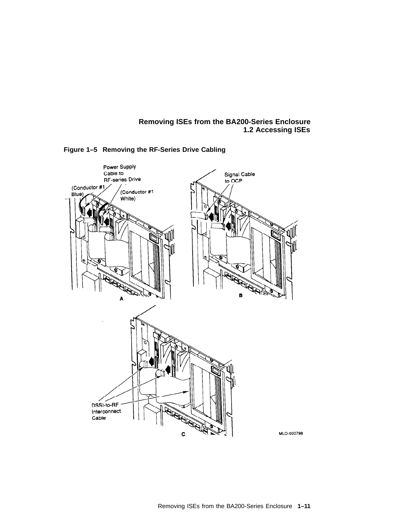

**Figure 1–5 Removing the RF-Series Drive Cabling**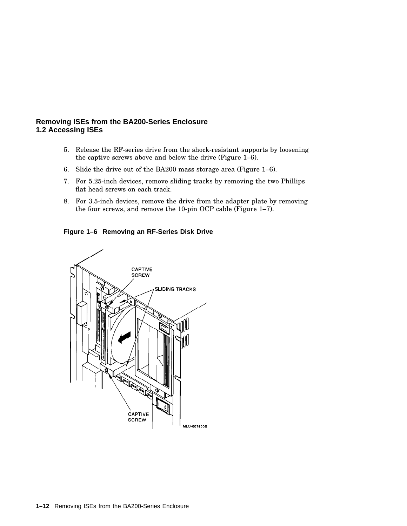- 5. Release the RF-series drive from the shock-resistant supports by loosening the captive screws above and below the drive (Figure 1–6).
- 6. Slide the drive out of the BA200 mass storage area (Figure 1–6).
- 7. For 5.25-inch devices, remove sliding tracks by removing the two Phillips flat head screws on each track.
- 8. For 3.5-inch devices, remove the drive from the adapter plate by removing the four screws, and remove the 10-pin OCP cable (Figure 1–7).

**Figure 1–6 Removing an RF-Series Disk Drive**

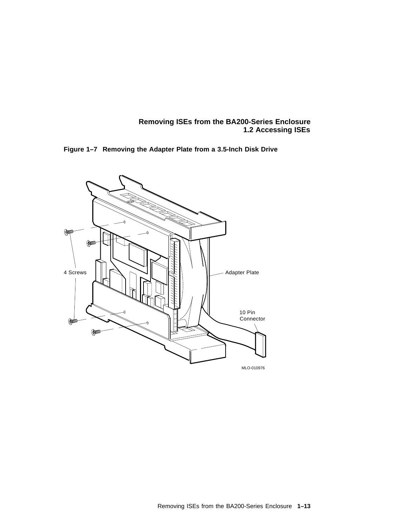

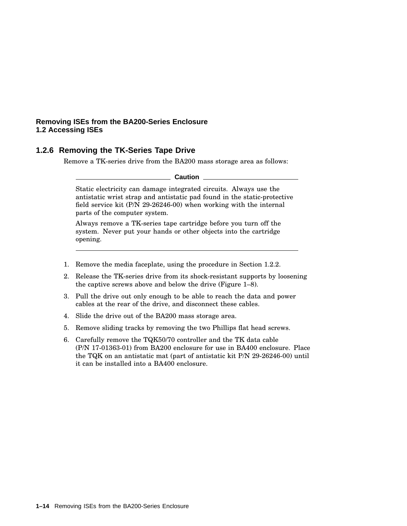# **1.2.6 Removing the TK-Series Tape Drive**

Remove a TK-series drive from the BA200 mass storage area as follows:

**Caution**

Static electricity can damage integrated circuits. Always use the antistatic wrist strap and antistatic pad found in the static-protective field service kit (P/N 29-26246-00) when working with the internal parts of the computer system.

Always remove a TK-series tape cartridge before you turn off the system. Never put your hands or other objects into the cartridge opening.

- 1. Remove the media faceplate, using the procedure in Section 1.2.2.
- 2. Release the TK-series drive from its shock-resistant supports by loosening the captive screws above and below the drive (Figure 1–8).
- 3. Pull the drive out only enough to be able to reach the data and power cables at the rear of the drive, and disconnect these cables.
- 4. Slide the drive out of the BA200 mass storage area.
- 5. Remove sliding tracks by removing the two Phillips flat head screws.
- 6. Carefully remove the TQK50/70 controller and the TK data cable (P/N 17-01363-01) from BA200 enclosure for use in BA400 enclosure. Place the TQK on an antistatic mat (part of antistatic kit P/N 29-26246-00) until it can be installed into a BA400 enclosure.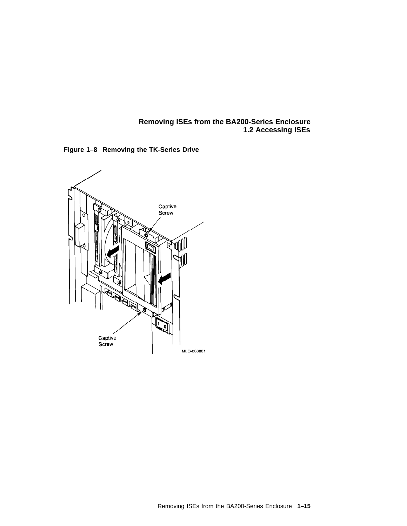

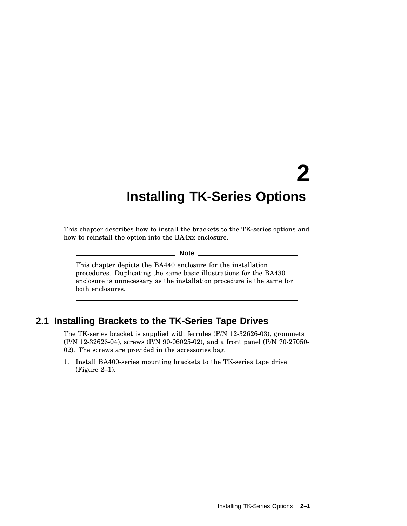# **2**

# **Installing TK-Series Options**

This chapter describes how to install the brackets to the TK-series options and how to reinstall the option into the BA4xx enclosure.

**Note**

This chapter depicts the BA440 enclosure for the installation procedures. Duplicating the same basic illustrations for the BA430 enclosure is unnecessary as the installation procedure is the same for both enclosures.

# **2.1 Installing Brackets to the TK-Series Tape Drives**

The TK-series bracket is supplied with ferrules (P/N 12-32626-03), grommets (P/N 12-32626-04), screws (P/N 90-06025-02), and a front panel (P/N 70-27050- 02). The screws are provided in the accessories bag.

1. Install BA400-series mounting brackets to the TK-series tape drive (Figure 2–1).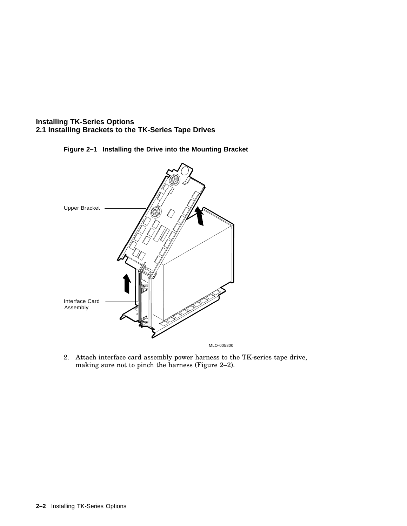# **Installing TK-Series Options 2.1 Installing Brackets to the TK-Series Tape Drives**





2. Attach interface card assembly power harness to the TK-series tape drive, making sure not to pinch the harness (Figure 2–2).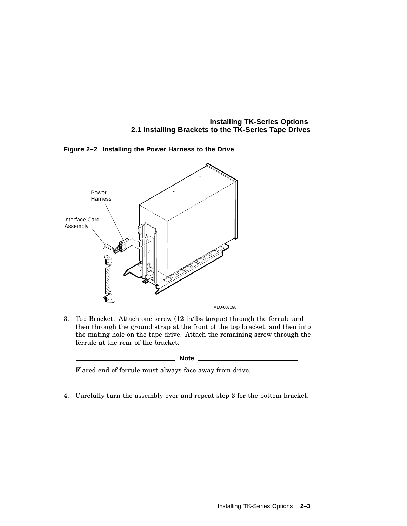**Installing TK-Series Options 2.1 Installing Brackets to the TK-Series Tape Drives**



**Figure 2–2 Installing the Power Harness to the Drive**

3. Top Bracket: Attach one screw (12 in/lbs torque) through the ferrule and then through the ground strap at the front of the top bracket, and then into the mating hole on the tape drive. Attach the remaining screw through the ferrule at the rear of the bracket.

| ۰.<br>۰,<br>$\sim$<br>× |
|-------------------------|
|-------------------------|

Flared end of ferrule must always face away from drive.

4. Carefully turn the assembly over and repeat step 3 for the bottom bracket.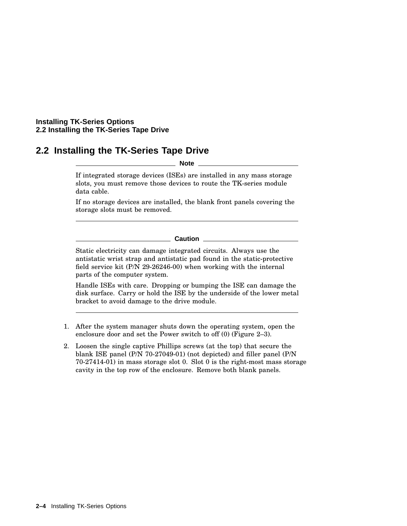# **2.2 Installing the TK-Series Tape Drive**

**Note**

If integrated storage devices (ISEs) are installed in any mass storage slots, you must remove those devices to route the TK-series module data cable.

If no storage devices are installed, the blank front panels covering the storage slots must be removed.

#### **Caution**

Static electricity can damage integrated circuits. Always use the antistatic wrist strap and antistatic pad found in the static-protective field service kit (P/N 29-26246-00) when working with the internal parts of the computer system.

Handle ISEs with care. Dropping or bumping the ISE can damage the disk surface. Carry or hold the ISE by the underside of the lower metal bracket to avoid damage to the drive module.

- 1. After the system manager shuts down the operating system, open the enclosure door and set the Power switch to off (0) (Figure 2–3).
- 2. Loosen the single captive Phillips screws (at the top) that secure the blank ISE panel (P/N 70-27049-01) (not depicted) and filler panel (P/N 70-27414-01) in mass storage slot 0. Slot 0 is the right-most mass storage cavity in the top row of the enclosure. Remove both blank panels.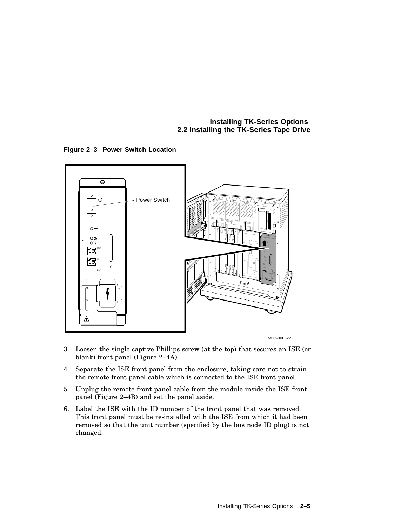**Figure 2–3 Power Switch Location**





- 3. Loosen the single captive Phillips screw (at the top) that secures an ISE (or blank) front panel (Figure 2–4A).
- 4. Separate the ISE front panel from the enclosure, taking care not to strain the remote front panel cable which is connected to the ISE front panel.
- 5. Unplug the remote front panel cable from the module inside the ISE front panel (Figure 2–4B) and set the panel aside.
- 6. Label the ISE with the ID number of the front panel that was removed. This front panel must be re-installed with the ISE from which it had been removed so that the unit number (specified by the bus node ID plug) is not changed.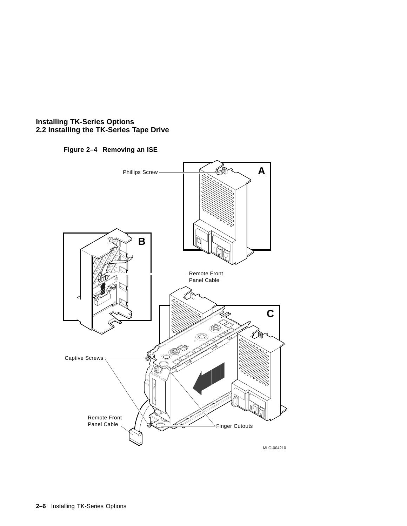# **Figure 2–4 Removing an ISE**

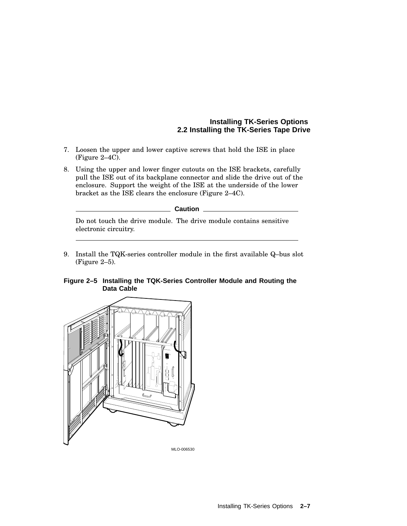- 7. Loosen the upper and lower captive screws that hold the ISE in place (Figure 2–4C).
- 8. Using the upper and lower finger cutouts on the ISE brackets, carefully pull the ISE out of its backplane connector and slide the drive out of the enclosure. Support the weight of the ISE at the underside of the lower bracket as the ISE clears the enclosure (Figure 2–4C).

**Caution**

Do not touch the drive module. The drive module contains sensitive electronic circuitry.

9. Install the TQK-series controller module in the first available Q–bus slot (Figure 2–5).



**Figure 2–5 Installing the TQK-Series Controller Module and Routing the Data Cable**

MLO-006530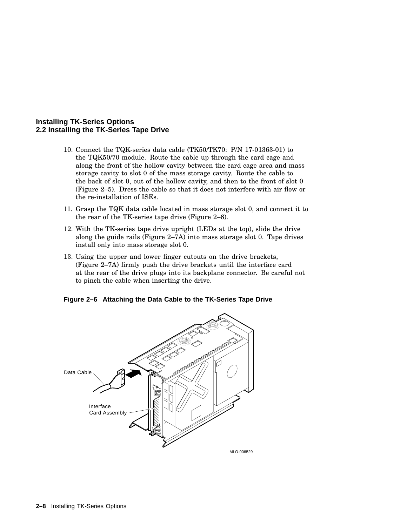- 10. Connect the TQK-series data cable (TK50/TK70: P/N 17-01363-01) to the TQK50/70 module. Route the cable up through the card cage and along the front of the hollow cavity between the card cage area and mass storage cavity to slot 0 of the mass storage cavity. Route the cable to the back of slot 0, out of the hollow cavity, and then to the front of slot 0 (Figure 2–5). Dress the cable so that it does not interfere with air flow or the re-installation of ISEs.
- 11. Grasp the TQK data cable located in mass storage slot 0, and connect it to the rear of the TK-series tape drive (Figure 2–6).
- 12. With the TK-series tape drive upright (LEDs at the top), slide the drive along the guide rails (Figure 2–7A) into mass storage slot 0. Tape drives install only into mass storage slot 0.
- 13. Using the upper and lower finger cutouts on the drive brackets, (Figure 2–7A) firmly push the drive brackets until the interface card at the rear of the drive plugs into its backplane connector. Be careful not to pinch the cable when inserting the drive.



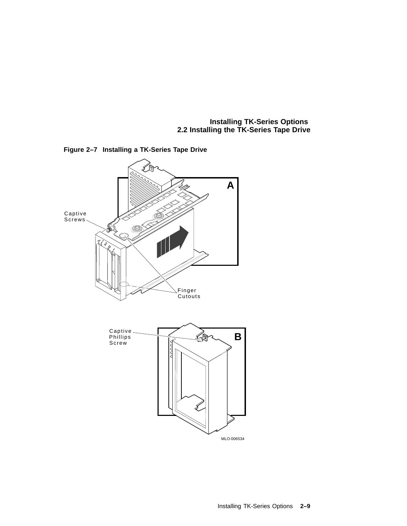

**Figure 2–7 Installing a TK-Series Tape Drive**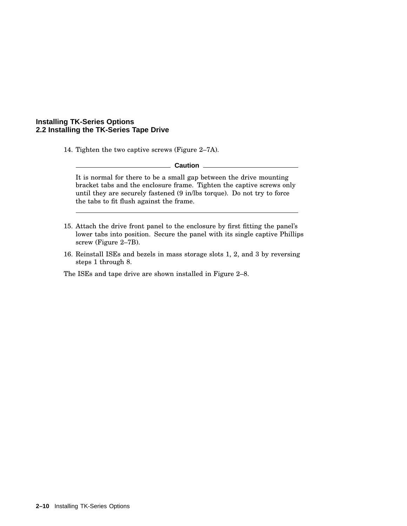14. Tighten the two captive screws (Figure 2–7A).

**Caution**

It is normal for there to be a small gap between the drive mounting bracket tabs and the enclosure frame. Tighten the captive screws only until they are securely fastened (9 in/lbs torque). Do not try to force the tabs to fit flush against the frame.

- 15. Attach the drive front panel to the enclosure by first fitting the panel's lower tabs into position. Secure the panel with its single captive Phillips screw (Figure 2–7B).
- 16. Reinstall ISEs and bezels in mass storage slots 1, 2, and 3 by reversing steps 1 through 8.

The ISEs and tape drive are shown installed in Figure 2–8.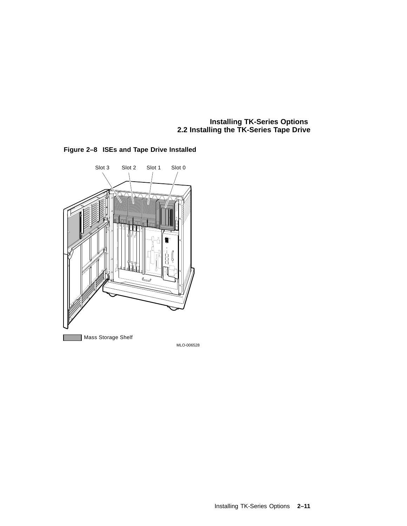



Installing TK-Series Options **2–11**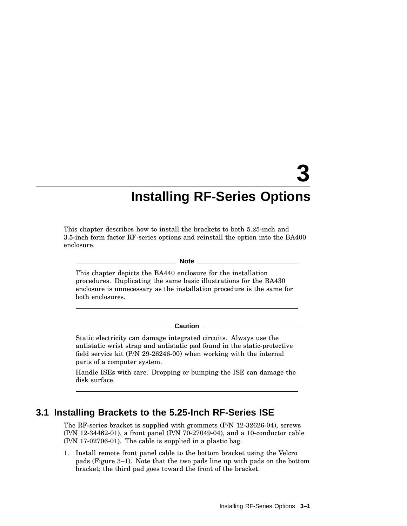# **3**

# **Installing RF-Series Options**

This chapter describes how to install the brackets to both 5.25-inch and 3.5-inch form factor RF-series options and reinstall the option into the BA400 enclosure.

#### **Note**

This chapter depicts the BA440 enclosure for the installation procedures. Duplicating the same basic illustrations for the BA430 enclosure is unnecessary as the installation procedure is the same for both enclosures.

#### **Caution**

Static electricity can damage integrated circuits. Always use the antistatic wrist strap and antistatic pad found in the static-protective field service kit (P/N 29-26246-00) when working with the internal parts of a computer system.

Handle ISEs with care. Dropping or bumping the ISE can damage the disk surface.

# **3.1 Installing Brackets to the 5.25-Inch RF-Series ISE**

The RF-series bracket is supplied with grommets (P/N 12-32626-04), screws (P/N 12-34462-01), a front panel (P/N 70-27049-04), and a 10-conductor cable (P/N 17-02706-01). The cable is supplied in a plastic bag.

1. Install remote front panel cable to the bottom bracket using the Velcro pads (Figure 3–1). Note that the two pads line up with pads on the bottom bracket; the third pad goes toward the front of the bracket.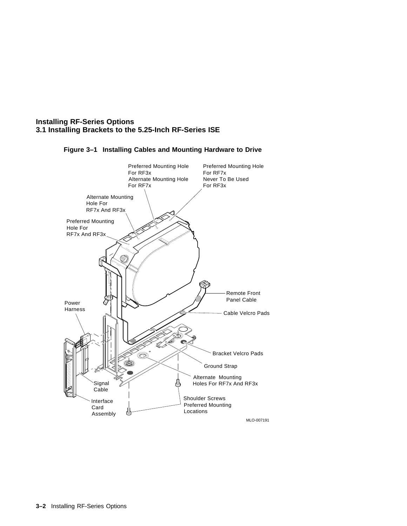# **Installing RF-Series Options 3.1 Installing Brackets to the 5.25-Inch RF-Series ISE**



### **Figure 3–1 Installing Cables and Mounting Hardware to Drive**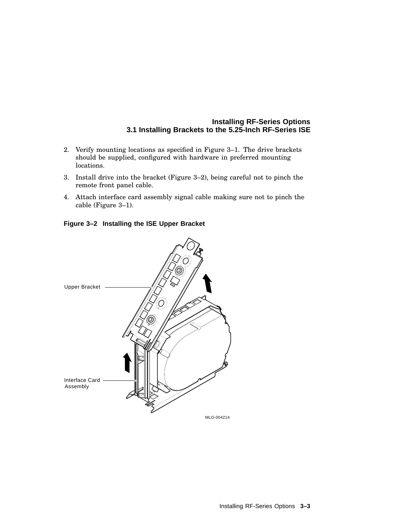## **Installing RF-Series Options 3.1 Installing Brackets to the 5.25-Inch RF-Series ISE**

- 2. Verify mounting locations as specified in Figure 3–1. The drive brackets should be supplied, configured with hardware in preferred mounting locations.
- 3. Install drive into the bracket (Figure 3–2), being careful not to pinch the remote front panel cable.
- 4. Attach interface card assembly signal cable making sure not to pinch the cable (Figure 3–1).

**Figure 3–2 Installing the ISE Upper Bracket**

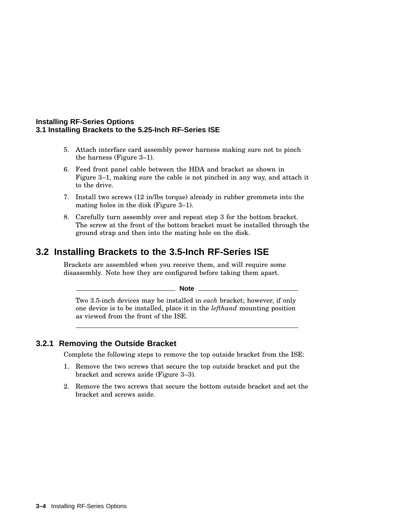#### **Installing RF-Series Options 3.1 Installing Brackets to the 5.25-Inch RF-Series ISE**

- 5. Attach interface card assembly power harness making sure not to pinch the harness (Figure 3–1).
- 6. Feed front panel cable between the HDA and bracket as shown in Figure 3–1, making sure the cable is not pinched in any way, and attach it to the drive.
- 7. Install two screws (12 in/lbs torque) already in rubber grommets into the mating holes in the disk (Figure 3–1).
- 8. Carefully turn assembly over and repeat step 3 for the bottom bracket. The screw at the front of the bottom bracket must be installed through the ground strap and then into the mating hole on the disk.

# **3.2 Installing Brackets to the 3.5-Inch RF-Series ISE**

Brackets are assembled when you receive them, and will require some disassembly. Note how they are configured before taking them apart.

**Note**

Two 3.5-inch devices may be installed in *each* bracket; however, if only one device is to be installed, place it in the *lefthand* mounting position as viewed from the front of the ISE.

# **3.2.1 Removing the Outside Bracket**

Complete the following steps to remove the top outside bracket from the ISE:

- 1. Remove the two screws that secure the top outside bracket and put the bracket and screws aside (Figure 3–3).
- 2. Remove the two screws that secure the bottom outside bracket and set the bracket and screws aside.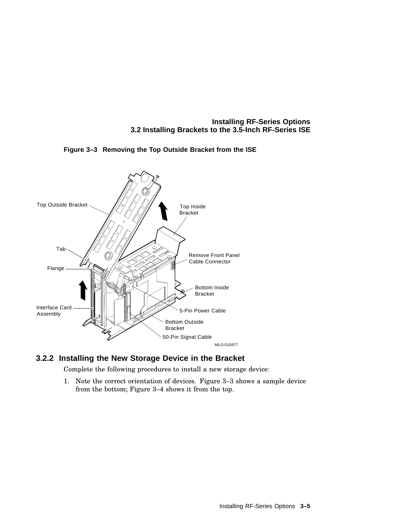**Installing RF-Series Options 3.2 Installing Brackets to the 3.5-Inch RF-Series ISE**



## **Figure 3–3 Removing the Top Outside Bracket from the ISE**

# **3.2.2 Installing the New Storage Device in the Bracket**

Complete the following procedures to install a new storage device:

1. Note the correct orientation of devices. Figure 3–3 shows a sample device from the bottom; Figure 3–4 shows it from the top.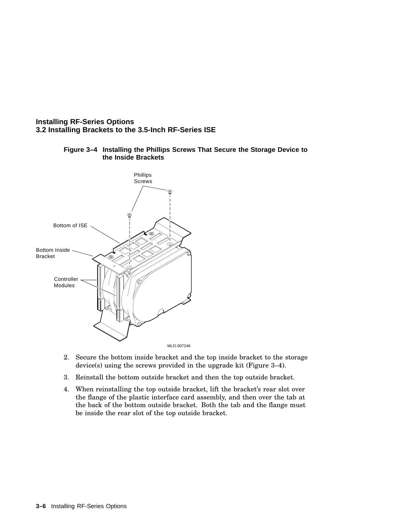# **Installing RF-Series Options 3.2 Installing Brackets to the 3.5-Inch RF-Series ISE**



## **Figure 3–4 Installing the Phillips Screws That Secure the Storage Device to the Inside Brackets**

- 2. Secure the bottom inside bracket and the top inside bracket to the storage device(s) using the screws provided in the upgrade kit (Figure 3–4).
- 3. Reinstall the bottom outside bracket and then the top outside bracket.
- 4. When reinstalling the top outside bracket, lift the bracket's rear slot over the flange of the plastic interface card assembly, and then over the tab at the back of the bottom outside bracket. Both the tab and the flange must be inside the rear slot of the top outside bracket.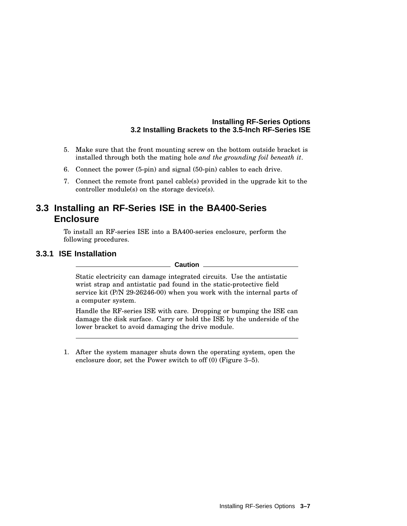## **Installing RF-Series Options 3.2 Installing Brackets to the 3.5-Inch RF-Series ISE**

- 5. Make sure that the front mounting screw on the bottom outside bracket is installed through both the mating hole *and the grounding foil beneath it*.
- 6. Connect the power (5-pin) and signal (50-pin) cables to each drive.
- 7. Connect the remote front panel cable(s) provided in the upgrade kit to the controller module(s) on the storage device(s).

# **3.3 Installing an RF-Series ISE in the BA400-Series Enclosure**

To install an RF-series ISE into a BA400-series enclosure, perform the following procedures.

# **3.3.1 ISE Installation**

#### **Caution**

Static electricity can damage integrated circuits. Use the antistatic wrist strap and antistatic pad found in the static-protective field service kit (P/N 29-26246-00) when you work with the internal parts of a computer system.

Handle the RF-series ISE with care. Dropping or bumping the ISE can damage the disk surface. Carry or hold the ISE by the underside of the lower bracket to avoid damaging the drive module.

1. After the system manager shuts down the operating system, open the enclosure door, set the Power switch to off (0) (Figure 3–5).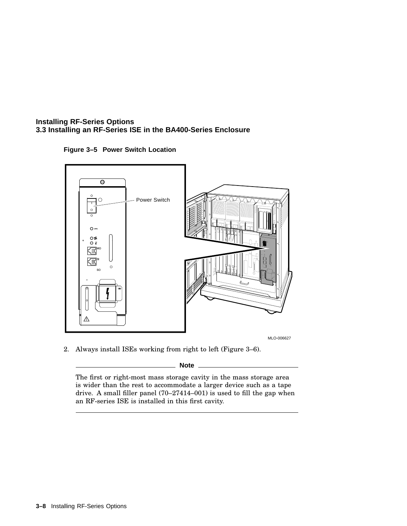**Figure 3–5 Power Switch Location**



2. Always install ISEs working from right to left (Figure 3–6).

**Note**

The first or right-most mass storage cavity in the mass storage area is wider than the rest to accommodate a larger device such as a tape drive. A small filler panel (70–27414–001) is used to fill the gap when an RF-series ISE is installed in this first cavity.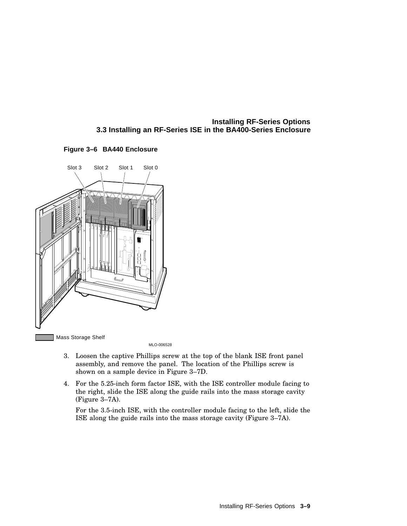



MLO-006528

- 3. Loosen the captive Phillips screw at the top of the blank ISE front panel assembly, and remove the panel. The location of the Phillips screw is shown on a sample device in Figure 3–7D.
- 4. For the 5.25-inch form factor ISE, with the ISE controller module facing to the right, slide the ISE along the guide rails into the mass storage cavity (Figure 3–7A).

For the 3.5-inch ISE, with the controller module facing to the left, slide the ISE along the guide rails into the mass storage cavity (Figure 3–7A).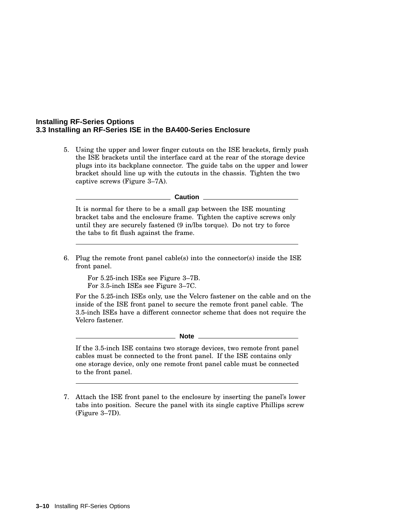5. Using the upper and lower finger cutouts on the ISE brackets, firmly push the ISE brackets until the interface card at the rear of the storage device plugs into its backplane connector. The guide tabs on the upper and lower bracket should line up with the cutouts in the chassis. Tighten the two captive screws (Figure 3–7A).

 $-$  Caution  $-$ 

It is normal for there to be a small gap between the ISE mounting bracket tabs and the enclosure frame. Tighten the captive screws only until they are securely fastened (9 in/lbs torque). Do not try to force the tabs to fit flush against the frame.

6. Plug the remote front panel cable(s) into the connector(s) inside the ISE front panel.

For 5.25-inch ISEs see Figure 3–7B. For 3.5-inch ISEs see Figure 3–7C.

For the 5.25-inch ISEs only, use the Velcro fastener on the cable and on the inside of the ISE front panel to secure the remote front panel cable. The 3.5-inch ISEs have a different connector scheme that does not require the Velcro fastener.

**Note**

If the 3.5-inch ISE contains two storage devices, two remote front panel cables must be connected to the front panel. If the ISE contains only one storage device, only one remote front panel cable must be connected to the front panel.

7. Attach the ISE front panel to the enclosure by inserting the panel's lower tabs into position. Secure the panel with its single captive Phillips screw (Figure 3–7D).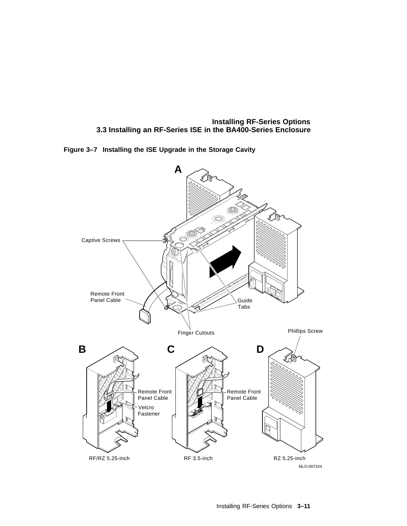**Figure 3–7 Installing the ISE Upgrade in the Storage Cavity**

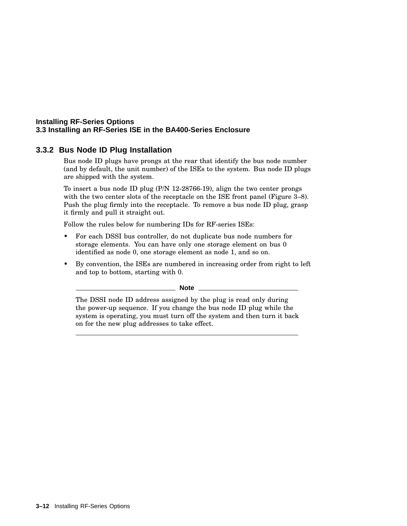# **3.3.2 Bus Node ID Plug Installation**

Bus node ID plugs have prongs at the rear that identify the bus node number (and by default, the unit number) of the ISEs to the system. Bus node ID plugs are shipped with the system.

To insert a bus node ID plug (P/N 12-28766-19), align the two center prongs with the two center slots of the receptacle on the ISE front panel (Figure 3–8). Push the plug firmly into the receptacle. To remove a bus node ID plug, grasp it firmly and pull it straight out.

Follow the rules below for numbering IDs for RF-series ISEs:

- For each DSSI bus controller, do not duplicate bus node numbers for storage elements. You can have only one storage element on bus 0 identified as node 0, one storage element as node 1, and so on.
- By convention, the ISEs are numbered in increasing order from right to left and top to bottom, starting with 0.

**Note**

The DSSI node ID address assigned by the plug is read only during the power-up sequence. If you change the bus node ID plug while the system is operating, you must turn off the system and then turn it back on for the new plug addresses to take effect.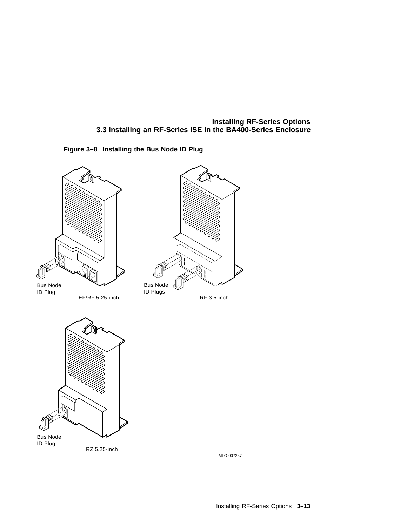





MLO-007237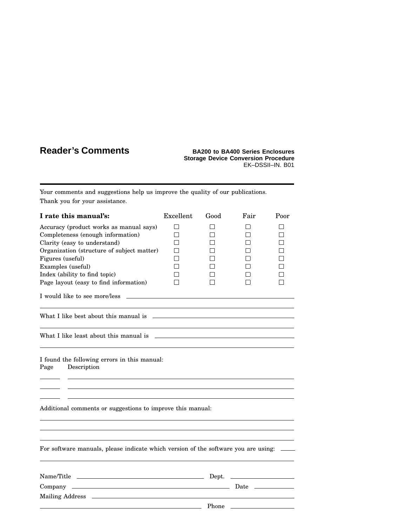# **Reader's Comments BA200 to BA400 Series Enclosures**

# **Storage Device Conversion Procedure** EK–DSSII–IN. B01

Your comments and suggestions help us improve the quality of our publications. Thank you for your assistance.

| I rate this manual's:                                                              | Excellent    | Good  | Fair         | Poor |
|------------------------------------------------------------------------------------|--------------|-------|--------------|------|
| Accuracy (product works as manual says)                                            | П            |       | l 1          | П    |
| Completeness (enough information)                                                  | П            |       | $\mathsf{I}$ | П    |
| Clarity (easy to understand)                                                       | $\mathbf{I}$ |       | $\mathsf{I}$ | П    |
| Organization (structure of subject matter)                                         | l 1          |       | $\mathsf{I}$ | П    |
| Figures (useful)                                                                   |              |       | П            | П    |
| Examples (useful)                                                                  |              |       | П            | П    |
| Index (ability to find topic)                                                      |              |       | l 1          | П    |
| Page layout (easy to find information)                                             |              |       |              | П    |
| I would like to see more/less                                                      |              |       |              |      |
| What I like best about this manual is                                              |              |       |              |      |
|                                                                                    |              |       |              |      |
| I found the following errors in this manual:<br>Description<br>Page                |              |       |              |      |
|                                                                                    |              |       |              |      |
| Additional comments or suggestions to improve this manual:                         |              |       |              |      |
|                                                                                    |              |       |              |      |
| For software manuals, please indicate which version of the software you are using: |              |       |              |      |
|                                                                                    |              |       |              |      |
|                                                                                    |              |       |              |      |
|                                                                                    |              |       |              |      |
|                                                                                    |              | Phone |              |      |